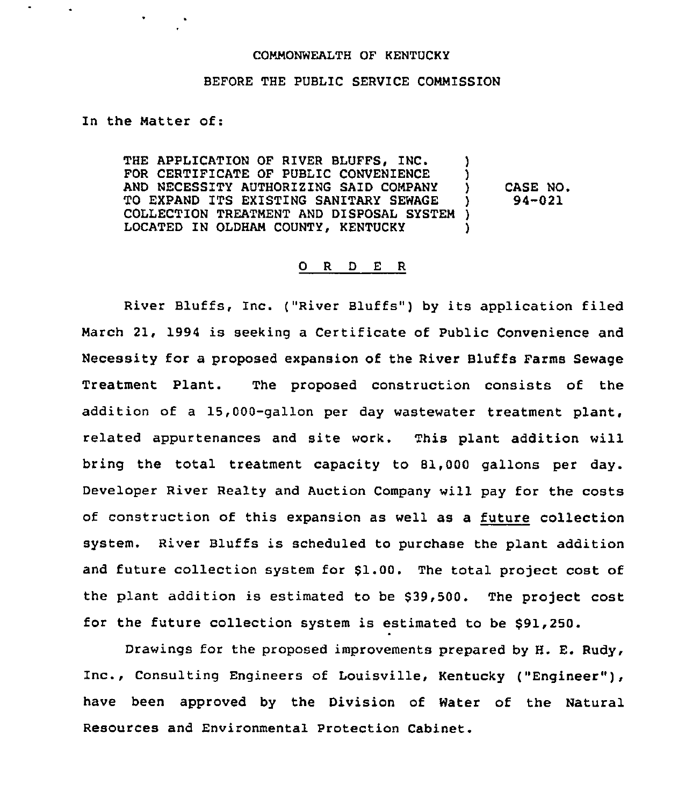## COMMONWEALTH OF KENTUCKY

## BEFORE THE PUBLIC SERVICE COMMISSION

## In the Matter of:

 $\bullet$ 

THE APPLICATION OF RIVER BLUFFS, INC. FOR CERTIFICATE OF PUBLIC CONVENIENCE )<br>AND NECESSITY AUTHORIZING SAID COMPANY ) AND NECESSITY AUTHORIZING SAID COMPANY )<br>TO EXPAND ITS EXISTING SANITARY SEWAGE ) TO EXPAND ITS EXISTING SANITARY SEWAGE )<br>COLLECTION TREATMENT AND DISPOSAL SYSTEM ) COLLECTION TREATMENT AND DISPOSAL SYSTEM ) LOCATED IN OLDHAM COUNTY, KENTUCKY CASE NO. 94-021

## 0 <sup>R</sup> <sup>D</sup> E <sup>R</sup>

River Bluffs, Inc. ("River Bluffs" ) by its application filed March 21, 1994 is seeking a Certificate of Public Convenience and Necessity for a proposed expansion of the River Bluffs Farms Sewage Treatment Plant. The proposed construction consists of the addition of a 15,000-gallon per day wastewater treatment plant, related appurtenances and site work. This plant addition will bring the total treatment capacity to 81,000 gallons per day. Developer River Realty and Auction Company will pay for the costs of construction of this expansion as well as a future collection system. River Bluffs is scheduled to purchase the plant addition and future collection system for \$1.00. The total project cost of the plant addition is estimated to be \$39,500. The project cost for the future collection system is estimated to be \$91,250.

Drawings for the proposed improvements prepared by H. E. Rudy, Inc., Consulting Engineers of Louisville, Kentucky ("Engineer" ), have been approved by the Division of Water of the Natural Resources and Environmental Protection Cabinet.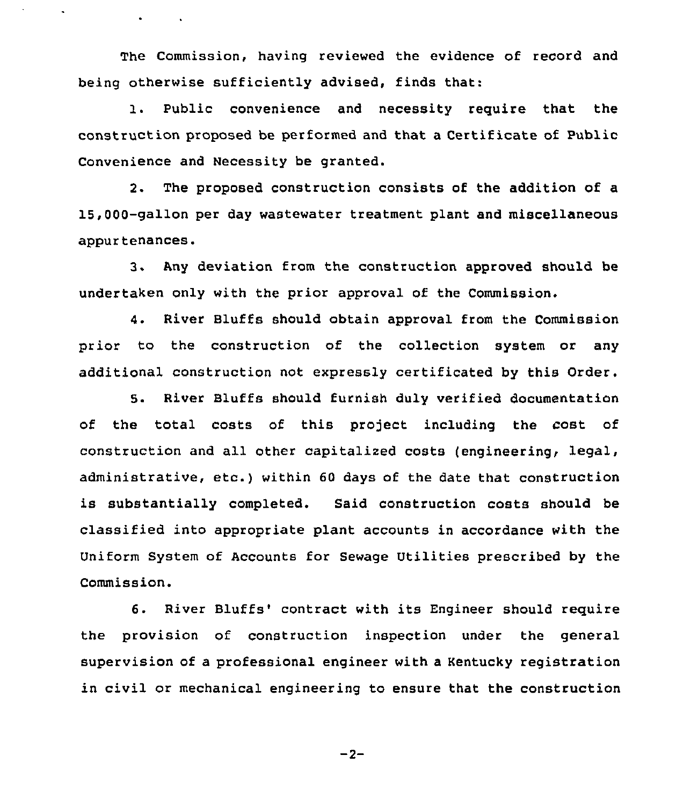The Commission, having reviewed the evidence of record and being otherwise sufficiently advised, finds that:

 $\bullet$  -  $\bullet$  -  $\bullet$  -  $\bullet$  -  $\bullet$ 

1. Public convenience and necessity requite that the construction proposed be performed and that a Certificate of Public Convenience and Necessity be granted.

2. The proposed construction consists of the addition of a 15,000-gallon per day wastewater treatment plant and miscellaneous appurtenances.

3. Any deviation from the construction approved should be undertaken only with the prior approval of the Commission.

4. River Bluffs should obtain approval from the Commission prior to the construction of the collection system or any additional construction not expressly certificated by this Order.

S. River Bluffs should furnish duly verified documentation of the total costs of this project including the cost of construction and all other capitalized costs (engineering< legal, administrative, etc.) within <sup>60</sup> days of the date that construction is substantially completed. Said construction costs should be classified into appropriate plant accounts in accordance with the Uniform System of Accounts for Sewage Utilities prescribed by the Commission.

6. River Bluffs'ontract with its Engineer should require the provision of construction inspection under the general supervision of a professional engineer with a Kentucky registration in civil or mechanical engineering to ensure that the construction

 $-2-$